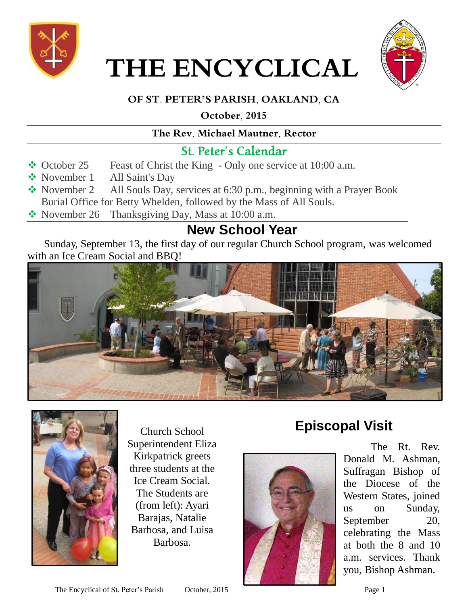

 **THE ENCYCLICAL**



### **OF ST. PETER'S PARISH, OAKLAND, CA**

**October, 2015**

#### **The Rev. Michael Mautner, Rector**

### St. Peter's Calendar

- October 25 Feast of Christ the King Only one service at 10:00 a.m.
- November 1 All Saint's Day
- November 2 All Souls Day, services at 6:30 p.m., beginning with a Prayer Book Burial Office for Betty Whelden, followed by the Mass of All Souls.
- November 26 Thanksgiving Day, Mass at  $10:00$  a.m.

# **New School Year**

Sunday, September 13, the first day of our regular Church School program, was welcomed with an Ice Cream Social and BBQ!





Church School Superintendent Eliza Kirkpatrick greets three students at the Ice Cream Social. The Students are (from left): Ayari Barajas, Natalie Barbosa, and Luisa Barbosa.

# **Episcopal Visit**



The Rt. Rev. Donald M. Ashman, Suffragan Bishop of the Diocese of the Western States, joined us on Sunday, September 20, celebrating the Mass at both the 8 and 10 a.m. services. Thank you, Bishop Ashman.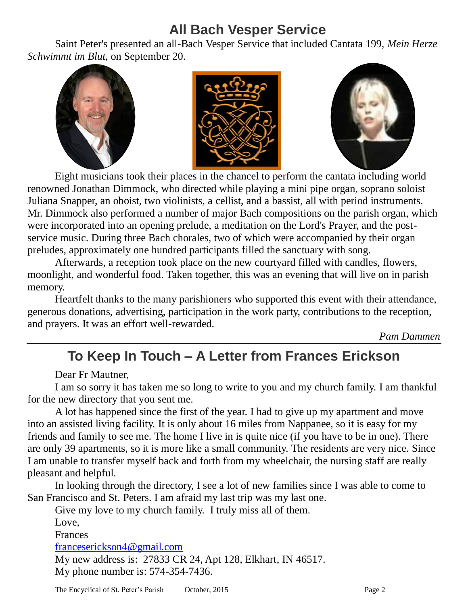## **All Bach Vesper Service**

Saint Peter's presented an all-Bach Vesper Service that included Cantata 199, *Mein Herze Schwimmt im Blut*, on September 20.



Eight musicians took their places in the chancel to perform the cantata including world renowned Jonathan Dimmock, who directed while playing a mini pipe organ, soprano soloist Juliana Snapper, an oboist, two violinists, a cellist, and a bassist, all with period instruments. Mr. Dimmock also performed a number of major Bach compositions on the parish organ, which were incorporated into an opening prelude, a meditation on the Lord's Prayer, and the postservice music. During three Bach chorales, two of which were accompanied by their organ preludes, approximately one hundred participants filled the sanctuary with song.

Afterwards, a reception took place on the new courtyard filled with candles, flowers, moonlight, and wonderful food. Taken together, this was an evening that will live on in parish memory.

Heartfelt thanks to the many parishioners who supported this event with their attendance, generous donations, advertising, participation in the work party, contributions to the reception, and prayers. It was an effort well-rewarded.

*Pam Dammen*

## **To Keep In Touch – A Letter from Frances Erickson**

Dear Fr Mautner,

I am so sorry it has taken me so long to write to you and my church family. I am thankful for the new directory that you sent me.

A lot has happened since the first of the year. I had to give up my apartment and move into an assisted living facility. It is only about 16 miles from Nappanee, so it is easy for my friends and family to see me. The home I live in is quite nice (if you have to be in one). There are only 39 apartments, so it is more like a small community. The residents are very nice. Since I am unable to transfer myself back and forth from my wheelchair, the nursing staff are really pleasant and helpful.

In looking through the directory, I see a lot of new families since I was able to come to San Francisco and St. Peters. I am afraid my last trip was my last one.

Give my love to my church family. I truly miss all of them.

Love,

Frances

franceserickson4@gmail.com

My new address is: 27833 CR 24, Apt 128, Elkhart, IN 46517. My phone number is: 574-354-7436.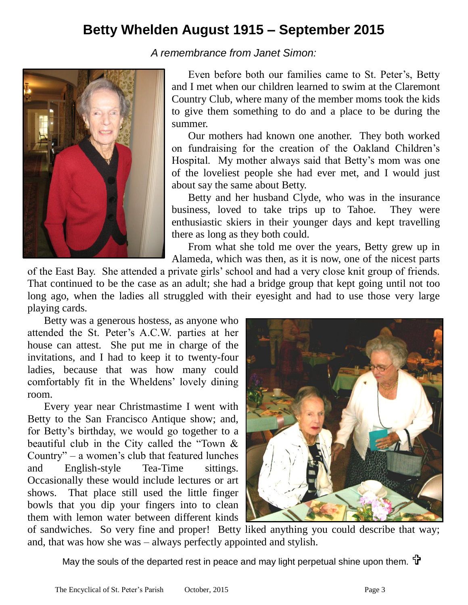### **Betty Whelden August 1915 – September 2015**

*A remembrance from Janet Simon:*



Even before both our families came to St. Peter's, Betty and I met when our children learned to swim at the Claremont Country Club, where many of the member moms took the kids to give them something to do and a place to be during the summer.

Our mothers had known one another. They both worked on fundraising for the creation of the Oakland Children's Hospital. My mother always said that Betty's mom was one of the loveliest people she had ever met, and I would just about say the same about Betty.

Betty and her husband Clyde, who was in the insurance business, loved to take trips up to Tahoe. They were enthusiastic skiers in their younger days and kept travelling there as long as they both could.

From what she told me over the years, Betty grew up in Alameda, which was then, as it is now, one of the nicest parts

of the East Bay. She attended a private girls' school and had a very close knit group of friends. That continued to be the case as an adult; she had a bridge group that kept going until not too long ago, when the ladies all struggled with their eyesight and had to use those very large playing cards.

Betty was a generous hostess, as anyone who attended the St. Peter's A.C.W. parties at her house can attest. She put me in charge of the invitations, and I had to keep it to twenty-four ladies, because that was how many could comfortably fit in the Wheldens' lovely dining room.

Every year near Christmastime I went with Betty to the San Francisco Antique show; and, for Betty's birthday, we would go together to a beautiful club in the City called the "Town & Country" – a women's club that featured lunches and English-style Tea-Time sittings. Occasionally these would include lectures or art shows. That place still used the little finger bowls that you dip your fingers into to clean them with lemon water between different kinds



of sandwiches. So very fine and proper! Betty liked anything you could describe that way; and, that was how she was – always perfectly appointed and stylish.

May the souls of the departed rest in peace and may light perpetual shine upon them.  $\mathbf{\hat{T}}$